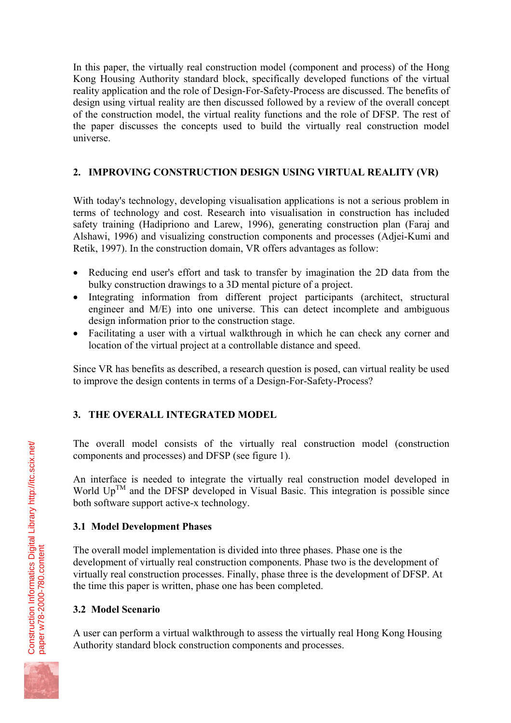In this paper, the virtually real construction model (component and process) of the Hong Kong Housing Authority standard block, specifically developed functions of the virtual reality application and the role of Design-For-Safety-Process are discussed. The benefits of design using virtual reality are then discussed followed by a review of the overall concept of the construction model, the virtual reality functions and the role of DFSP. The rest of the paper discusses the concepts used to build the virtually real construction model universe.

## **2. IMPROVING CONSTRUCTION DESIGN USING VIRTUAL REALITY (VR)**

With today's technology, developing visualisation applications is not a serious problem in terms of technology and cost. Research into visualisation in construction has included safety training (Hadipriono and Larew, 1996), generating construction plan (Faraj and Alshawi, 1996) and visualizing construction components and processes (Adjei-Kumi and Retik, 1997). In the construction domain, VR offers advantages as follow:

- Reducing end user's effort and task to transfer by imagination the 2D data from the bulky construction drawings to a 3D mental picture of a project.
- Integrating information from different project participants (architect, structural engineer and M/E) into one universe. This can detect incomplete and ambiguous design information prior to the construction stage.
- Facilitating a user with a virtual walkthrough in which he can check any corner and location of the virtual project at a controllable distance and speed.

Since VR has benefits as described, a research question is posed, can virtual reality be used to improve the design contents in terms of a Design-For-Safety-Process?

# **3. THE OVERALL INTEGRATED MODEL**

The overall model consists of the virtually real construction model (construction components and processes) and DFSP (see figure 1).

An interface is needed to integrate the virtually real construction model developed in World  $Up^{TM}$  and the DFSP developed in Visual Basic. This integration is possible since both software support active-x technology.

## **3.1 Model Development Phases**

The overall model implementation is divided into three phases. Phase one is the development of virtually real construction components. Phase two is the development of virtually real construction processes. Finally, phase three is the development of DFSP. At the time this paper is written, phase one has been completed.

## **3.2 Model Scenario**

A user can perform a virtual walkthrough to assess the virtually real Hong Kong Housing Authority standard block construction components and processes.

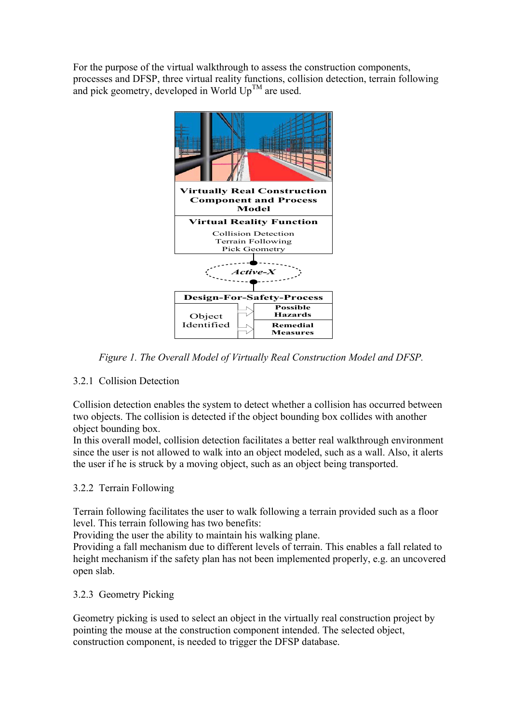For the purpose of the virtual walkthrough to assess the construction components, processes and DFSP, three virtual reality functions, collision detection, terrain following and pick geometry, developed in World  $Up^{TM}$  are used.



*Figure 1. The Overall Model of Virtually Real Construction Model and DFSP.* 

# 3.2.1 Collision Detection

Collision detection enables the system to detect whether a collision has occurred between two objects. The collision is detected if the object bounding box collides with another object bounding box.

In this overall model, collision detection facilitates a better real walkthrough environment since the user is not allowed to walk into an object modeled, such as a wall. Also, it alerts the user if he is struck by a moving object, such as an object being transported.

# 3.2.2 Terrain Following

Terrain following facilitates the user to walk following a terrain provided such as a floor level. This terrain following has two benefits:

Providing the user the ability to maintain his walking plane.

Providing a fall mechanism due to different levels of terrain. This enables a fall related to height mechanism if the safety plan has not been implemented properly, e.g. an uncovered open slab.

## 3.2.3 Geometry Picking

Geometry picking is used to select an object in the virtually real construction project by pointing the mouse at the construction component intended. The selected object, construction component, is needed to trigger the DFSP database.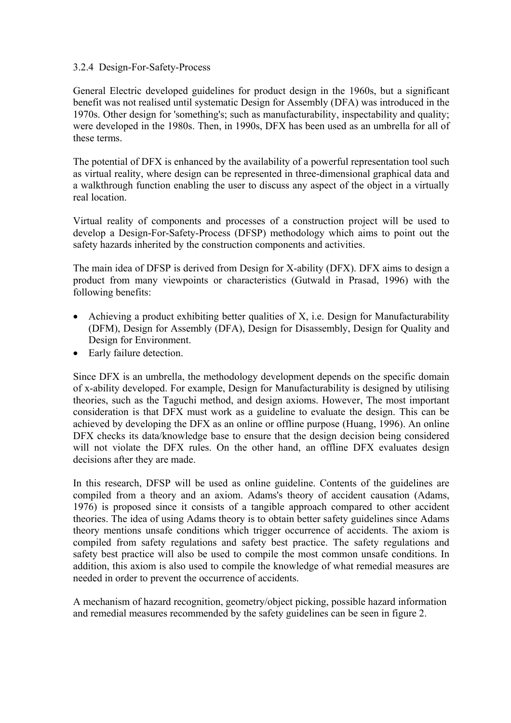#### 3.2.4 Design-For-Safety-Process

General Electric developed guidelines for product design in the 1960s, but a significant benefit was not realised until systematic Design for Assembly (DFA) was introduced in the 1970s. Other design for 'something's; such as manufacturability, inspectability and quality; were developed in the 1980s. Then, in 1990s, DFX has been used as an umbrella for all of these terms.

The potential of DFX is enhanced by the availability of a powerful representation tool such as virtual reality, where design can be represented in three-dimensional graphical data and a walkthrough function enabling the user to discuss any aspect of the object in a virtually real location.

Virtual reality of components and processes of a construction project will be used to develop a Design-For-Safety-Process (DFSP) methodology which aims to point out the safety hazards inherited by the construction components and activities.

The main idea of DFSP is derived from Design for X-ability (DFX). DFX aims to design a product from many viewpoints or characteristics (Gutwald in Prasad, 1996) with the following benefits:

- Achieving a product exhibiting better qualities of X, i.e. Design for Manufacturability (DFM), Design for Assembly (DFA), Design for Disassembly, Design for Quality and Design for Environment.
- Early failure detection.

Since DFX is an umbrella, the methodology development depends on the specific domain of x-ability developed. For example, Design for Manufacturability is designed by utilising theories, such as the Taguchi method, and design axioms. However, The most important consideration is that DFX must work as a guideline to evaluate the design. This can be achieved by developing the DFX as an online or offline purpose (Huang, 1996). An online DFX checks its data/knowledge base to ensure that the design decision being considered will not violate the DFX rules. On the other hand, an offline DFX evaluates design decisions after they are made.

In this research, DFSP will be used as online guideline. Contents of the guidelines are compiled from a theory and an axiom. Adams's theory of accident causation (Adams, 1976) is proposed since it consists of a tangible approach compared to other accident theories. The idea of using Adams theory is to obtain better safety guidelines since Adams theory mentions unsafe conditions which trigger occurrence of accidents. The axiom is compiled from safety regulations and safety best practice. The safety regulations and safety best practice will also be used to compile the most common unsafe conditions. In addition, this axiom is also used to compile the knowledge of what remedial measures are needed in order to prevent the occurrence of accidents.

A mechanism of hazard recognition, geometry/object picking, possible hazard information and remedial measures recommended by the safety guidelines can be seen in figure 2.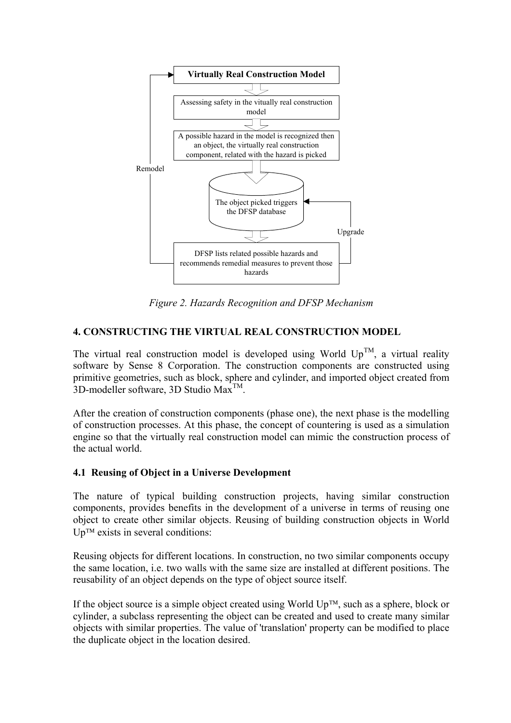

*Figure 2. Hazards Recognition and DFSP Mechanism* 

### **4. CONSTRUCTING THE VIRTUAL REAL CONSTRUCTION MODEL**

The virtual real construction model is developed using World  $Up^{TM}$ , a virtual reality software by Sense 8 Corporation. The construction components are constructed using primitive geometries, such as block, sphere and cylinder, and imported object created from 3D-modeller software, 3D Studio Max<sup>TM</sup>.

After the creation of construction components (phase one), the next phase is the modelling of construction processes. At this phase, the concept of countering is used as a simulation engine so that the virtually real construction model can mimic the construction process of the actual world.

### **4.1 Reusing of Object in a Universe Development**

The nature of typical building construction projects, having similar construction components, provides benefits in the development of a universe in terms of reusing one object to create other similar objects. Reusing of building construction objects in World  $Up^{TM}$  exists in several conditions:

Reusing objects for different locations. In construction, no two similar components occupy the same location, i.e. two walls with the same size are installed at different positions. The reusability of an object depends on the type of object source itself.

If the object source is a simple object created using World  $Up^{TM}$ , such as a sphere, block or cylinder, a subclass representing the object can be created and used to create many similar objects with similar properties. The value of 'translation' property can be modified to place the duplicate object in the location desired.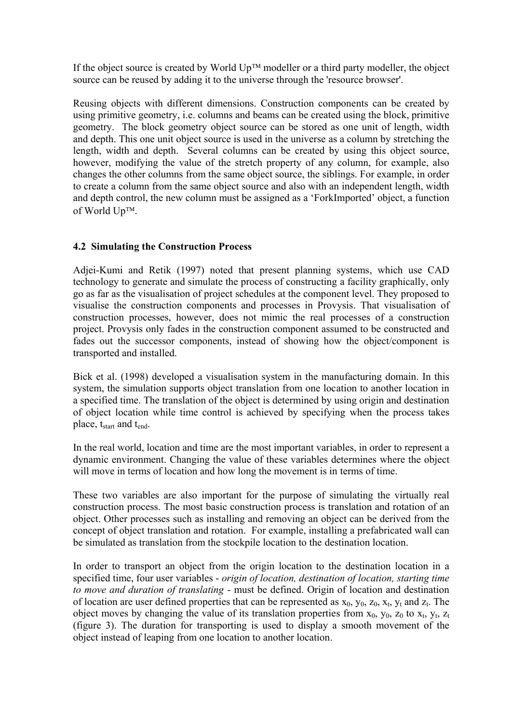If the object source is created by World  $Up^{TM}$  modeller or a third party modeller, the object source can be reused by adding it to the universe through the 'resource browser'.

Reusing objects with different dimensions. Construction components can be created by using primitive geometry, i.e. columns and beams can be created using the block, primitive geometry. The block geometry object source can be stored as one unit of length, width and depth. This one unit object source is used in the universe as a column by stretching the length, width and depth. Several columns can be created by using this object source, however, modifying the value of the stretch property of any column, for example, also changes the other columns from the same object source, the siblings. For example, in order to create a column from the same object source and also with an independent length, width and depth control, the new column must be assigned as a 'ForkImported' object, a function of World  $Up^{TM}$ .

### **4.2 Simulating the Construction Process**

Adjei-Kumi and Retik (1997) noted that present planning systems, which use CAD technology to generate and simulate the process of constructing a facility graphically, only go as far as the visualisation of project schedules at the component level. They proposed to visualise the construction components and processes in Provysis. That visualisation of construction processes, however, does not mimic the real processes of a construction project. Provysis only fades in the construction component assumed to be constructed and fades out the successor components, instead of showing how the object/component is transported and installed.

Bick et al. (1998) developed a visualisation system in the manufacturing domain. In this system, the simulation supports object translation from one location to another location in a specified time. The translation of the object is determined by using origin and destination of object location while time control is achieved by specifying when the process takes place, t<sub>start</sub> and t<sub>end</sub>.

In the real world, location and time are the most important variables, in order to represent a dynamic environment. Changing the value of these variables determines where the object will move in terms of location and how long the movement is in terms of time.

These two variables are also important for the purpose of simulating the virtually real construction process. The most basic construction process is translation and rotation of an object. Other processes such as installing and removing an object can be derived from the concept of object translation and rotation. For example, installing a prefabricated wall can be simulated as translation from the stockpile location to the destination location.

In order to transport an object from the origin location to the destination location in a specified time, four user variables - *origin of location, destination of location, starting time to move and duration of translating* - must be defined. Origin of location and destination of location are user defined properties that can be represented as  $x_0$ ,  $y_0$ ,  $z_0$ ,  $x_t$ ,  $y_t$  and  $z_t$ . The object moves by changing the value of its translation properties from  $x_0$ ,  $y_0$ ,  $z_0$  to  $x_t$ ,  $y_t$ ,  $z_t$ (figure 3). The duration for transporting is used to display a smooth movement of the object instead of leaping from one location to another location.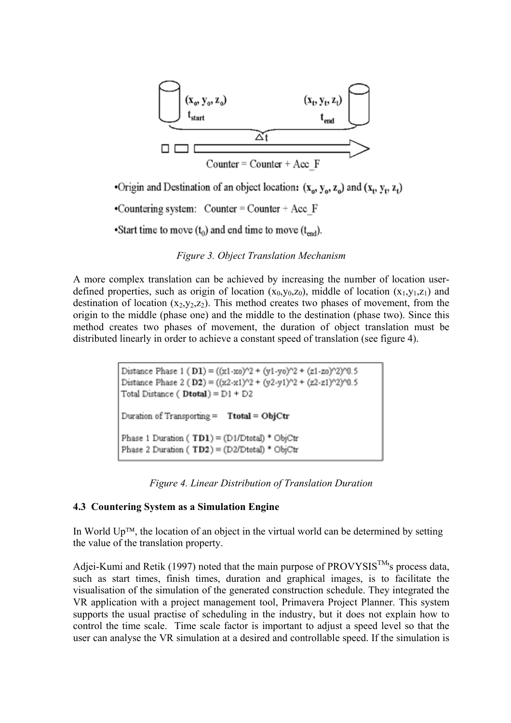

•Origin and Destination of an object location:  $(x_0, y_0, z_0)$  and  $(x_t, y_t, z_t)$ 

•Countering system: Counter = Counter + Acc  $F$ 

Start time to move  $(t_0)$  and end time to move  $(t_{end})$ .

*Figure 3. Object Translation Mechanism* 

A more complex translation can be achieved by increasing the number of location userdefined properties, such as origin of location  $(x_0, y_0, z_0)$ , middle of location  $(x_1, y_1, z_1)$  and destination of location  $(x_2,y_2,z_2)$ . This method creates two phases of movement, from the origin to the middle (phase one) and the middle to the destination (phase two). Since this method creates two phases of movement, the duration of object translation must be distributed linearly in order to achieve a constant speed of translation (see figure 4).

> Distance Phase 1 (D1) =  $((x1-x0)^2 + (y1-y0)^2 + (z1-z0)^2)(0.5)$ Distance Phase 2 (D2) =  $((x2-x1)^2 + (y2-y1)^2 + (z2-z1)^22)^20.5$ Total Distance ( $Dtotal$ ) =  $D1 + D2$ Duration of Transporting =  $Total = ObjCtr$ Phase 1 Duration (TD1) = (D1/Dtotal) \* ObjCtr Phase 2 Duration (TD2) = (D2/Dtotal) \* ObjCtr

#### **4.3 Countering System as a Simulation Engine**

In World  $Up^{TM}$ , the location of an object in the virtual world can be determined by setting the value of the translation property.

Adjei-Kumi and Retik (1997) noted that the main purpose of PROVYSIS<sup>TM</sup>'s process data, such as start times, finish times, duration and graphical images, is to facilitate the visualisation of the simulation of the generated construction schedule. They integrated the VR application with a project management tool, Primavera Project Planner. This system supports the usual practise of scheduling in the industry, but it does not explain how to control the time scale. Time scale factor is important to adjust a speed level so that the user can analyse the VR simulation at a desired and controllable speed. If the simulation is

*Figure 4. Linear Distribution of Translation Duration*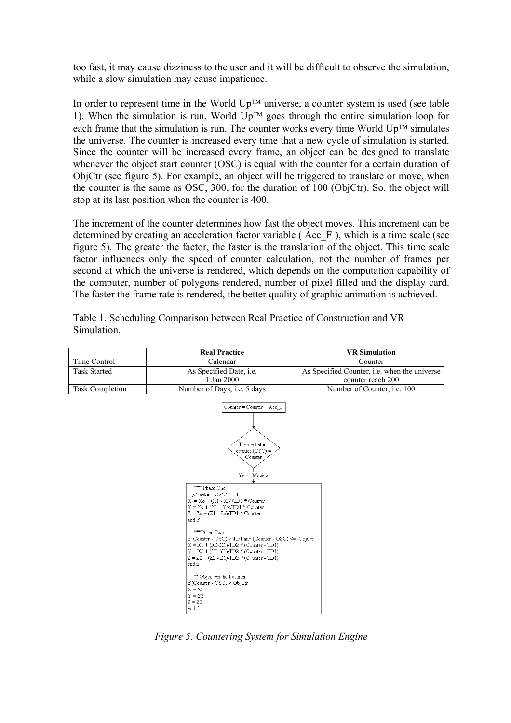too fast, it may cause dizziness to the user and it will be difficult to observe the simulation, while a slow simulation may cause impatience.

In order to represent time in the World  $Up^{TM}$  universe, a counter system is used (see table 1). When the simulation is run, World  $Up^{TM}$  goes through the entire simulation loop for each frame that the simulation is run. The counter works every time World  $Up^{TM}$  simulates the universe. The counter is increased every time that a new cycle of simulation is started. Since the counter will be increased every frame, an object can be designed to translate whenever the object start counter (OSC) is equal with the counter for a certain duration of ObjCtr (see figure 5). For example, an object will be triggered to translate or move, when the counter is the same as OSC, 300, for the duration of 100 (ObjCtr). So, the object will stop at its last position when the counter is 400.

The increment of the counter determines how fast the object moves. This increment can be determined by creating an acceleration factor variable ( Acc\_F ), which is a time scale (see figure 5). The greater the factor, the faster is the translation of the object. This time scale factor influences only the speed of counter calculation, not the number of frames per second at which the universe is rendered, which depends on the computation capability of the computer, number of polygons rendered, number of pixel filled and the display card. The faster the frame rate is rendered, the better quality of graphic animation is achieved.

Table 1. Scheduling Comparison between Real Practice of Construction and VR Simulation.

|                        | <b>Real Practice</b>                                                                                                                                                                                                                                                                                                                                                                                                                                                                                                                                                                                                         | <b>VR</b> Simulation                         |
|------------------------|------------------------------------------------------------------------------------------------------------------------------------------------------------------------------------------------------------------------------------------------------------------------------------------------------------------------------------------------------------------------------------------------------------------------------------------------------------------------------------------------------------------------------------------------------------------------------------------------------------------------------|----------------------------------------------|
| Time Control           | Calendar                                                                                                                                                                                                                                                                                                                                                                                                                                                                                                                                                                                                                     | Counter                                      |
| <b>Task Started</b>    | As Specified Date, i.e.                                                                                                                                                                                                                                                                                                                                                                                                                                                                                                                                                                                                      | As Specified Counter, i.e. when the universe |
|                        | 1 Jan 2000                                                                                                                                                                                                                                                                                                                                                                                                                                                                                                                                                                                                                   | counter reach 200                            |
| <b>Task Completion</b> | Number of Days, i.e. 5 days                                                                                                                                                                                                                                                                                                                                                                                                                                                                                                                                                                                                  | Number of Counter, i.e. 100                  |
|                        | $Counter = Counter + Acc F$<br>If object start<br>$counter (OSC) =$<br>Counter<br>$Yes = Moving$<br>"""""Phase One<br>if $(Counter - OSC) \leq TDI$<br>$X = X_0 + (X_1 - X_0)/TD1$ * Counter<br>$Y = Y_0 + (Y_1 - Y_0)/T D1 *$ Counter<br>$Z = Z_0 + (Z_1 - Z_0)/T D_1 *$ Counter<br>end if<br>"""""Phase Two<br>if (Counter - OSC) > TD1 and (Counter - OSC) <= ObjCtr<br>$X = X1 + (X2-X1)/TD2$ * (Counter - TD1)<br>$Y = X2 + (Y2 - Y1)/TD2$ * (Counter - TD1)<br>$Z = Z2 + (Z2 - Z1)/TD2$ * (Counter - TD1)<br>end if<br>""""" Object on the Position<br>if (Counter - OSC) > ObjCtr<br>$X = X2$<br>$Y = Y2$<br>$7 - 70$ |                                              |

*Figure 5. Countering System for Simulation Engine* 

 $\begin{vmatrix} 2 - 22 \\ \text{end if} \end{vmatrix}$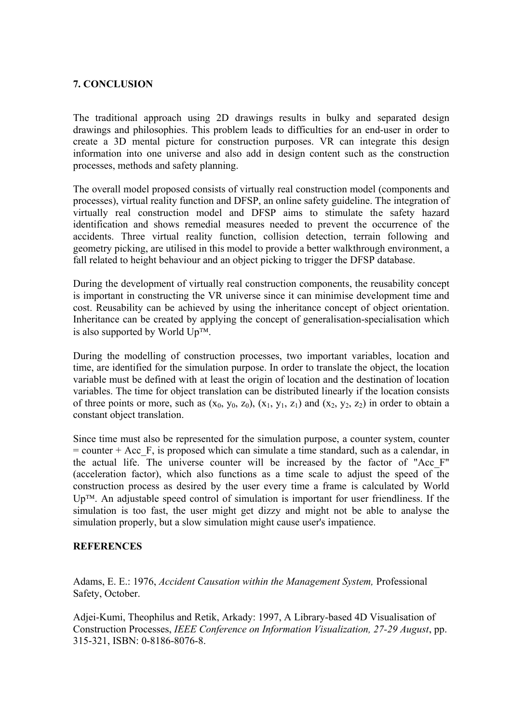### **7. CONCLUSION**

The traditional approach using 2D drawings results in bulky and separated design drawings and philosophies. This problem leads to difficulties for an end-user in order to create a 3D mental picture for construction purposes. VR can integrate this design information into one universe and also add in design content such as the construction processes, methods and safety planning.

The overall model proposed consists of virtually real construction model (components and processes), virtual reality function and DFSP, an online safety guideline. The integration of virtually real construction model and DFSP aims to stimulate the safety hazard identification and shows remedial measures needed to prevent the occurrence of the accidents. Three virtual reality function, collision detection, terrain following and geometry picking, are utilised in this model to provide a better walkthrough environment, a fall related to height behaviour and an object picking to trigger the DFSP database.

During the development of virtually real construction components, the reusability concept is important in constructing the VR universe since it can minimise development time and cost. Reusability can be achieved by using the inheritance concept of object orientation. Inheritance can be created by applying the concept of generalisation-specialisation which is also supported by World  $Up^{TM}$ .

During the modelling of construction processes, two important variables, location and time, are identified for the simulation purpose. In order to translate the object, the location variable must be defined with at least the origin of location and the destination of location variables. The time for object translation can be distributed linearly if the location consists of three points or more, such as  $(x_0, y_0, z_0)$ ,  $(x_1, y_1, z_1)$  and  $(x_2, y_2, z_2)$  in order to obtain a constant object translation.

Since time must also be represented for the simulation purpose, a counter system, counter  $=$  counter  $+$  Acc  $\overline{F}$ , is proposed which can simulate a time standard, such as a calendar, in the actual life. The universe counter will be increased by the factor of "Acc\_F" (acceleration factor), which also functions as a time scale to adjust the speed of the construction process as desired by the user every time a frame is calculated by World  $Up^{TM}$ . An adjustable speed control of simulation is important for user friendliness. If the simulation is too fast, the user might get dizzy and might not be able to analyse the simulation properly, but a slow simulation might cause user's impatience.

#### **REFERENCES**

Adams, E. E.: 1976, *Accident Causation within the Management System,* Professional Safety, October.

Adjei-Kumi, Theophilus and Retik, Arkady: 1997, A Library-based 4D Visualisation of Construction Processes, *IEEE Conference on Information Visualization, 27-29 August*, pp. 315-321, ISBN: 0-8186-8076-8.